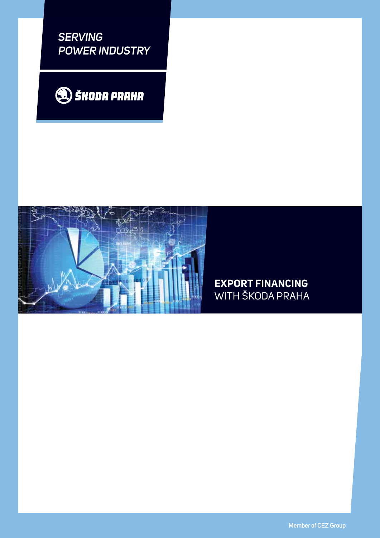*SERVING POWER INDUSTRY*





# **EXPORT FINANCING** WITH ŠKODA PRAHA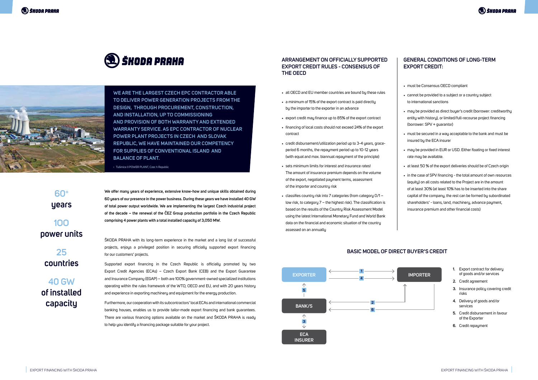**We offer many years of experience, extensive know-how and unique skills obtained during 60 years of our presence in the power business. During these years we have installed 40 GW of total power output worldwide. We are implementing the largest Czech industrial project of the decade – the renewal of the ČEZ Group production portfolio in the Czech Republic comprising 4 power plants with a total installed capacity of 3,050 MW.**

ŠKODA PRAHA with its long-term experience in the market and a long list of successful projects, enjoys a privileged position in securing officially supported export financing for our customers' projects.

Supported export financing in the Czech Republic is officially promoted by two Export Credit Agencies (ECAs) – Czech Export Bank (CEB) and the Export Guarantee and Insurance Company (EGAP) – both are 100% government-owned specialized institutions operating within the rules framework of the WTO, OECD and EU, and with 20 years history and experience in exporting machinery and equipment for the energy production.

Furthermore, our cooperation with its subcontractors' local ECAs and international commercial banking houses, enables us to provide tailor-made export financing and bank guarantees. There are various financing options available on the market and ŠKODA PRAHA is ready to help you identify a financing package suitable for your project.

- all OECD and EU member countries are bound bu these rules
- a minimum of 15% of the export contract is paid directly by the importer to the exporter in an advance
- export credit may finance up to 85% of the export contract
- financing of local costs should not exceed 24% of the export contract
- credit disbursement/utilization period up to 3-4 years, graceperiod 6 months, the repayment period up to 10-12 years (with equal and max. biannual repayment of the principle)
- sets minimum limits for interest and insurance rates! The amount of insurance premium depends on the volume of the export, negotiated payment terms, assessment of the importer and countru risk
- classifies country risk into 7 categories (from category 0/1 low risk, to category 7 – the highest risk). The classification is based on the results of the Country Risk Assessment Model using the latest International Monetary Fund and World Bank data on the financial and economic situation of the country assessed on an annually

**60+ years**

**1OO power units**

**25 countries**

**40 GW of installed capacity**

#### **ARRANGEMENT ON OFFICIALLY SUPPORTED EXPORT CREDIT RULES - CONSENSUS OF THE OECD**

### **GENERAL CONDITIONS OF LONG-TERM EXPORT CREDIT:**

• must be Consensus OECD compliant

- • cannot be provided to a subject or a country subject to international sanctions
- • may be provided as direct buyer's credit (borrower: creditworthy entity with history), or limited/full-recourse project financing (borrower: SPV + guarantor)
- must be secured in a way acceptable to the bank and must be insured by the ECA insurer
- may be provided in EUR or USD. Either floating or fixed interest rate may be available.
- $\bullet$  at least 50 % of the export deliveries should be of Czech origin
- in the case of SPV financing the total amount of own resources (equity) on all costs related to the Project are in the amount of at least 30% (at least 10% has to be inserted into the share capital of the company, the rest can be formed by subordinated shareholders' - loans, land, machinery, advance payment, insurance premium and other financial costs)





## **BASIC MODEL OF DIRECT BUYER'S CREDIT**

- **1.** Export contract for delivery of goods and/or services
- **2.** Credit agreement
- **3.** Insurance policy covering credit risks
- **4.** Delivery of goods and/or services
- **5.** Credit disbursement in favour of the Exporter
- **6.** Credit repayment





**WE ARE THE LARGEST CZECH EPC CONTRACTOR ABLE TO DELIVER POWER GENERATION PROJECTS FROM THE DESIGN, THROUGH PROCUREMENT, CONSTRUCTION, AND INSTALLATION, UP TO COMMISSIONING AND PROVISION OF BOTH WARRANTY AND EXTENDED WARRANTY SERVICE. As EPC contractor of nuclear power plant projects in Czech and Slovak Republic, we have maintained our competency for supplies of conventional island and balance of plant.**

‹ Tušimice II POWER PLANT, Czec h Republic